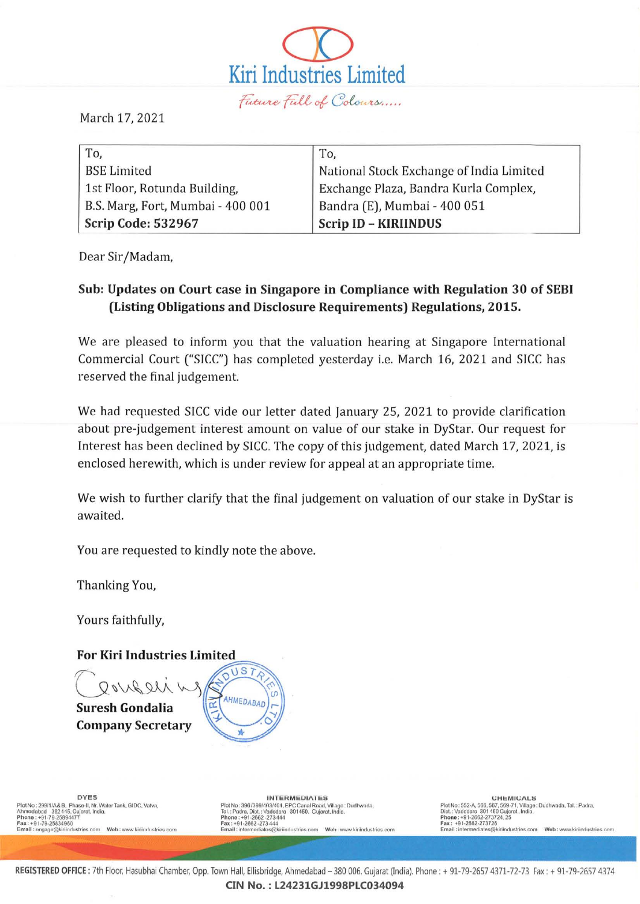

March 17, 2021

| To,                               | To,                                      |
|-----------------------------------|------------------------------------------|
| <b>BSE</b> Limited                | National Stock Exchange of India Limited |
| 1st Floor, Rotunda Building,      | Exchange Plaza, Bandra Kurla Complex,    |
| B.S. Marg, Fort, Mumbai - 400 001 | Bandra (E), Mumbai - 400 051             |
| Scrip Code: 532967                | <b>Scrip ID - KIRIINDUS</b>              |

Dear Sir/Madam,

# Sub: Updates on Court case in Singapore in Compliance with Regulation 30 of SEBI (Listing Obligations and Disclosure Requirements) Regulations, 2015.

We are pleased to inform you that the valuation hearing at Singapore International Commercial Court ("SICC") has completed yesterday i.e. March 16, 2021 and SICC has reserved the final judgement.

We had requested SICC vide our letter dated January 25, 2021 to provide clarification about pre-judgement interest amount on value of our stake in DyStar. Our request for Interest has been declined by SICC. The copy of this judgement, dated March 17, 2021, is enclosed herewith, which is under review for appeal at an appropriate time.

We wish to further clarify that the final judgement on valuation of our stake in DyStar is awaited.

You are requested to kindly note the above.

Thanking You,

Yours faithfully,

## **For Kiri Industries Limited**



**Company Secretary** 



Plot No : 299/1/A& B, Phase-II, Nr. Water Tank, GIDC, Vatva,<br>Ahmodabad 382 446, Cujarat, India.

DYES DYES<br>Plot No: 399/1/A&B, Phase-II, Nr. Water Tank, GIDC, Vafva, Plot No: 399/1/388/399/403/404, EPC Canal Road, Village: Dudhwada,<br>Ahmodabdd 382.416, Cujqurd, India. Thitlet Tank, GIDC, Vafva, Thitlet Tank, GIDC, Vaf

Plot No : 552-A, 566, 567, 569-71, Village : Dudhwada, Tal. : Padra,<br>Diot. : Vododoro 301 150 Cujorot, Indio. Email: intermediate.com Web: www.kiriindustries.com Email: intermediates@kiriindustries.com Web: www.kiriindustries.com Email: intermediates@kiriindustries.com Web: www.kiriindustries.com Web: www.kiriindustries.com Email:

REGISTERED OFFICE : 7th Floor, Hasubhai Chamber, Opp. Town Hall, Ellisbridge, Ahmedabad - 380 006. Gujarat (India). Phone : + 91-79-2657 4371-72-73 Fax : + 91-79-2657 4374 CIN No. : L24231GJ 1998PLC034094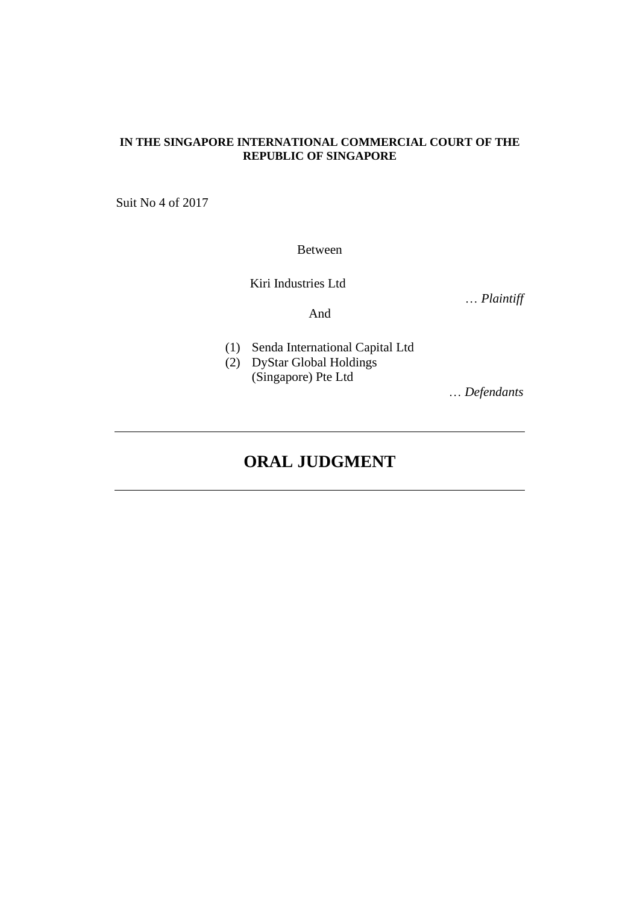## **IN THE SINGAPORE INTERNATIONAL COMMERCIAL COURT OF THE REPUBLIC OF SINGAPORE**

Suit No 4 of 2017

Between

Kiri Industries Ltd

… *Plaintiff*

And

- 
- (1) Senda International Capital Ltd
- (2) DyStar Global Holdings (Singapore) Pte Ltd

… *Defendants*

# **ORAL JUDGMENT**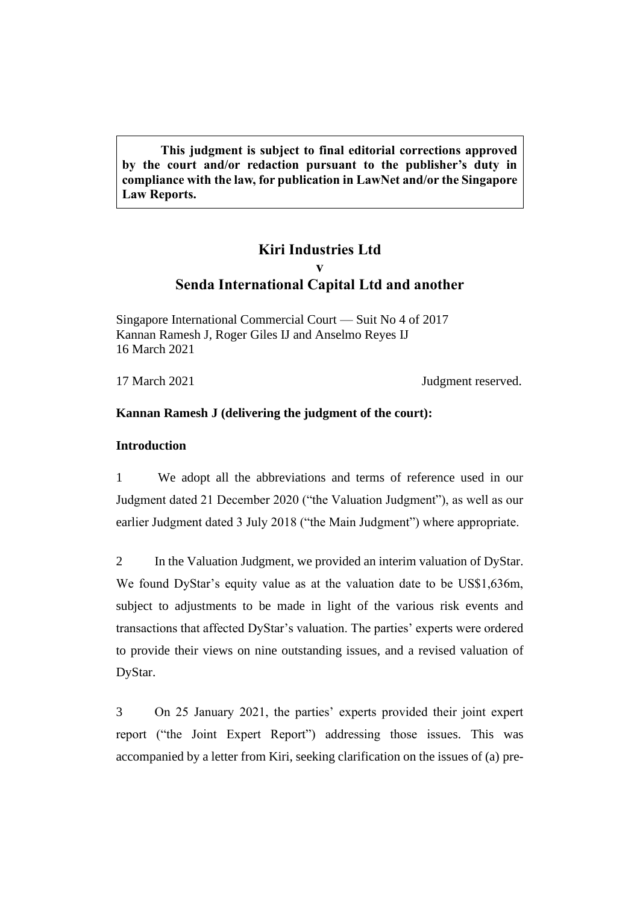**This judgment is subject to final editorial corrections approved by the court and/or redaction pursuant to the publisher's duty in compliance with the law, for publication in LawNet and/or the Singapore Law Reports.**

# **Kiri Industries Ltd v Senda International Capital Ltd and another**

Singapore International Commercial Court — Suit No 4 of 2017 Kannan Ramesh J, Roger Giles IJ and Anselmo Reyes IJ 16 March 2021

17 March 2021 Judgment reserved.

## **Kannan Ramesh J (delivering the judgment of the court):**

## **Introduction**

1 We adopt all the abbreviations and terms of reference used in our Judgment dated 21 December 2020 ("the Valuation Judgment"), as well as our earlier Judgment dated 3 July 2018 ("the Main Judgment") where appropriate.

2 In the Valuation Judgment, we provided an interim valuation of DyStar. We found DyStar's equity value as at the valuation date to be US\$1,636m, subject to adjustments to be made in light of the various risk events and transactions that affected DyStar's valuation. The parties' experts were ordered to provide their views on nine outstanding issues, and a revised valuation of DyStar.

3 On 25 January 2021, the parties' experts provided their joint expert report ("the Joint Expert Report") addressing those issues. This was accompanied by a letter from Kiri, seeking clarification on the issues of (a) pre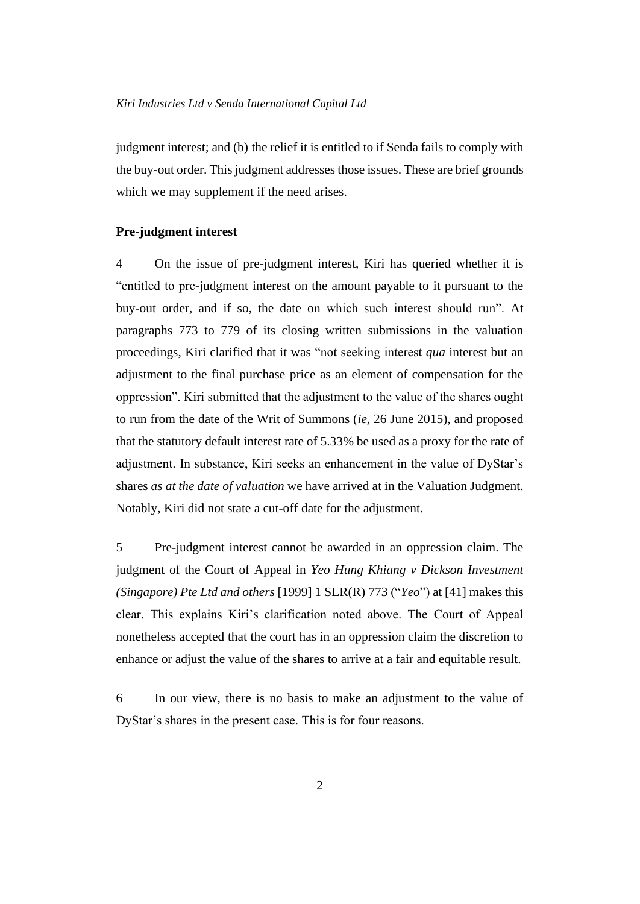judgment interest; and (b) the relief it is entitled to if Senda fails to comply with the buy-out order. This judgment addresses those issues. These are brief grounds which we may supplement if the need arises.

#### **Pre-judgment interest**

4 On the issue of pre-judgment interest, Kiri has queried whether it is "entitled to pre-judgment interest on the amount payable to it pursuant to the buy-out order, and if so, the date on which such interest should run". At paragraphs 773 to 779 of its closing written submissions in the valuation proceedings, Kiri clarified that it was "not seeking interest *qua* interest but an adjustment to the final purchase price as an element of compensation for the oppression". Kiri submitted that the adjustment to the value of the shares ought to run from the date of the Writ of Summons (*ie*, 26 June 2015), and proposed that the statutory default interest rate of 5.33% be used as a proxy for the rate of adjustment. In substance, Kiri seeks an enhancement in the value of DyStar's shares *as at the date of valuation* we have arrived at in the Valuation Judgment. Notably, Kiri did not state a cut-off date for the adjustment.

5 Pre-judgment interest cannot be awarded in an oppression claim. The judgment of the Court of Appeal in *Yeo Hung Khiang v Dickson Investment (Singapore) Pte Ltd and others* [1999] 1 SLR(R) 773 ("*Yeo*") at [41] makes this clear. This explains Kiri's clarification noted above. The Court of Appeal nonetheless accepted that the court has in an oppression claim the discretion to enhance or adjust the value of the shares to arrive at a fair and equitable result.

6 In our view, there is no basis to make an adjustment to the value of DyStar's shares in the present case. This is for four reasons.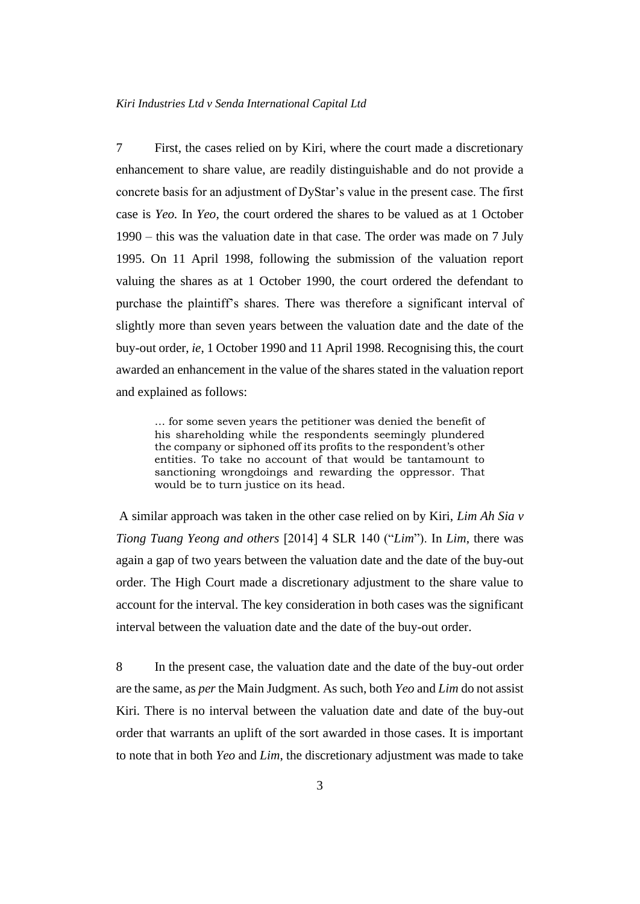7 First, the cases relied on by Kiri, where the court made a discretionary enhancement to share value, are readily distinguishable and do not provide a concrete basis for an adjustment of DyStar's value in the present case. The first case is *Yeo.* In *Yeo*, the court ordered the shares to be valued as at 1 October 1990 – this was the valuation date in that case. The order was made on 7 July 1995. On 11 April 1998, following the submission of the valuation report valuing the shares as at 1 October 1990, the court ordered the defendant to purchase the plaintiff's shares. There was therefore a significant interval of slightly more than seven years between the valuation date and the date of the buy-out order, *ie*, 1 October 1990 and 11 April 1998. Recognising this, the court awarded an enhancement in the value of the shares stated in the valuation report and explained as follows:

… for some seven years the petitioner was denied the benefit of his shareholding while the respondents seemingly plundered the company or siphoned off its profits to the respondent's other entities. To take no account of that would be tantamount to sanctioning wrongdoings and rewarding the oppressor. That would be to turn justice on its head.

A similar approach was taken in the other case relied on by Kiri, *Lim Ah Sia v Tiong Tuang Yeong and others* [2014] 4 SLR 140 ("*Lim*"). In *Lim*, there was again a gap of two years between the valuation date and the date of the buy-out order. The High Court made a discretionary adjustment to the share value to account for the interval. The key consideration in both cases was the significant interval between the valuation date and the date of the buy-out order.

8 In the present case, the valuation date and the date of the buy-out order are the same, as *per* the Main Judgment. As such, both *Yeo* and *Lim* do not assist Kiri. There is no interval between the valuation date and date of the buy-out order that warrants an uplift of the sort awarded in those cases. It is important to note that in both *Yeo* and *Lim*, the discretionary adjustment was made to take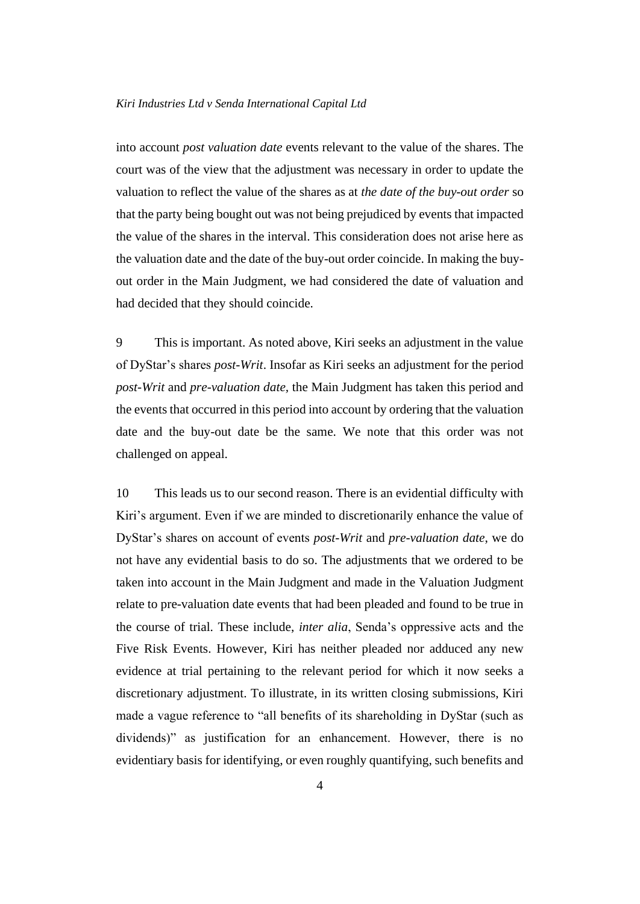#### *Kiri Industries Ltd v Senda International Capital Ltd*

into account *post valuation date* events relevant to the value of the shares. The court was of the view that the adjustment was necessary in order to update the valuation to reflect the value of the shares as at *the date of the buy-out order* so that the party being bought out was not being prejudiced by events that impacted the value of the shares in the interval. This consideration does not arise here as the valuation date and the date of the buy-out order coincide. In making the buyout order in the Main Judgment, we had considered the date of valuation and had decided that they should coincide.

9 This is important. As noted above, Kiri seeks an adjustment in the value of DyStar's shares *post-Writ*. Insofar as Kiri seeks an adjustment for the period *post-Writ* and *pre-valuation date,* the Main Judgment has taken this period and the events that occurred in this period into account by ordering that the valuation date and the buy-out date be the same. We note that this order was not challenged on appeal.

10 This leads us to our second reason. There is an evidential difficulty with Kiri's argument. Even if we are minded to discretionarily enhance the value of DyStar's shares on account of events *post-Writ* and *pre-valuation date*, we do not have any evidential basis to do so. The adjustments that we ordered to be taken into account in the Main Judgment and made in the Valuation Judgment relate to pre-valuation date events that had been pleaded and found to be true in the course of trial. These include, *inter alia*, Senda's oppressive acts and the Five Risk Events. However, Kiri has neither pleaded nor adduced any new evidence at trial pertaining to the relevant period for which it now seeks a discretionary adjustment. To illustrate, in its written closing submissions, Kiri made a vague reference to "all benefits of its shareholding in DyStar (such as dividends)" as justification for an enhancement. However, there is no evidentiary basis for identifying, or even roughly quantifying, such benefits and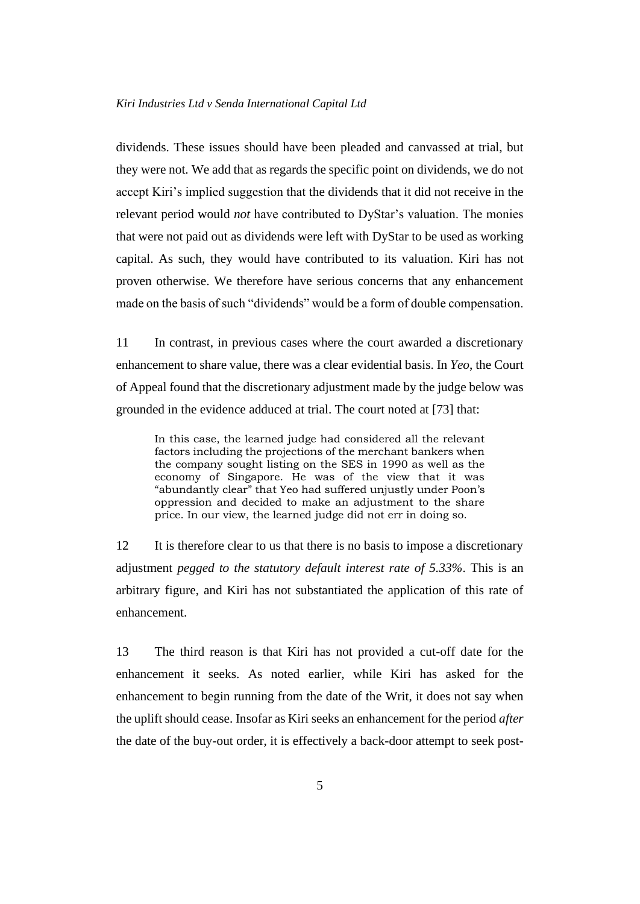dividends. These issues should have been pleaded and canvassed at trial, but they were not. We add that as regards the specific point on dividends, we do not accept Kiri's implied suggestion that the dividends that it did not receive in the relevant period would *not* have contributed to DyStar's valuation. The monies that were not paid out as dividends were left with DyStar to be used as working capital. As such, they would have contributed to its valuation. Kiri has not proven otherwise. We therefore have serious concerns that any enhancement made on the basis of such "dividends" would be a form of double compensation.

11 In contrast, in previous cases where the court awarded a discretionary enhancement to share value, there was a clear evidential basis. In *Yeo*, the Court of Appeal found that the discretionary adjustment made by the judge below was grounded in the evidence adduced at trial. The court noted at [73] that:

In this case, the learned judge had considered all the relevant factors including the projections of the merchant bankers when the company sought listing on the SES in 1990 as well as the economy of Singapore. He was of the view that it was "abundantly clear" that Yeo had suffered unjustly under Poon's oppression and decided to make an adjustment to the share price. In our view, the learned judge did not err in doing so.

12 It is therefore clear to us that there is no basis to impose a discretionary adjustment *pegged to the statutory default interest rate of 5.33%*. This is an arbitrary figure, and Kiri has not substantiated the application of this rate of enhancement.

13 The third reason is that Kiri has not provided a cut-off date for the enhancement it seeks. As noted earlier, while Kiri has asked for the enhancement to begin running from the date of the Writ, it does not say when the uplift should cease. Insofar as Kiri seeks an enhancement for the period *after*  the date of the buy-out order, it is effectively a back-door attempt to seek post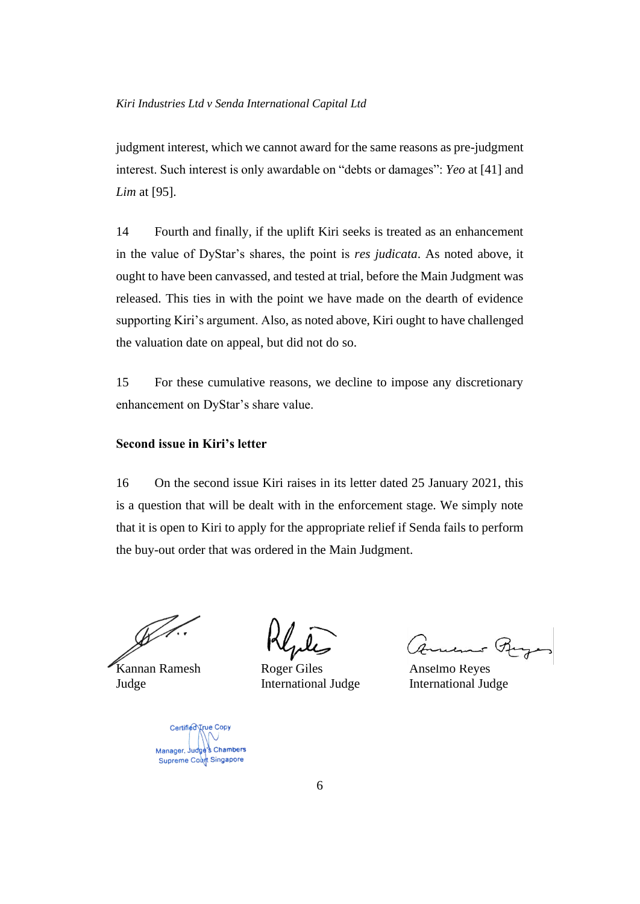judgment interest, which we cannot award for the same reasons as pre-judgment interest. Such interest is only awardable on "debts or damages": *Yeo* at [41] and *Lim* at [95].

14 Fourth and finally, if the uplift Kiri seeks is treated as an enhancement in the value of DyStar's shares, the point is *res judicata*. As noted above, it ought to have been canvassed, and tested at trial, before the Main Judgment was released. This ties in with the point we have made on the dearth of evidence supporting Kiri's argument. Also, as noted above, Kiri ought to have challenged the valuation date on appeal, but did not do so.

15 For these cumulative reasons, we decline to impose any discretionary enhancement on DyStar's share value.

## **Second issue in Kiri's letter**

16 On the second issue Kiri raises in its letter dated 25 January 2021, this is a question that will be dealt with in the enforcement stage. We simply note that it is open to Kiri to apply for the appropriate relief if Senda fails to perform the buy-out order that was ordered in the Main Judgment.

Kannan Ramesh Roger Giles Anselmo Reyes Judge International Judge International Judge